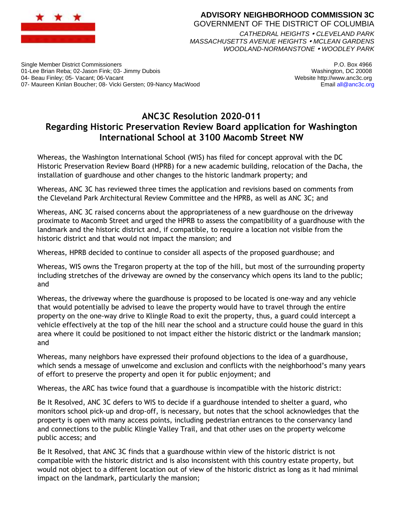

## **ADVISORY NEIGHBORHOOD COMMISSION 3C** GOVERNMENT OF THE DISTRICT OF COLUMBIA

*CATHEDRAL HEIGHTS CLEVELAND PARK MASSACHUSETTS AVENUE HEIGHTS MCLEAN GARDENS WOODLAND-NORMANSTONE WOODLEY PARK*

Single Member District Commissioners 01-Lee Brian Reba; 02-Jason Fink; 03- Jimmy Dubois 04- Beau Finley; 05- Vacant; 06-Vacant 07- Maureen Kinlan Boucher; 08- Vicki Gersten; 09-Nancy MacWood

P.O. Box 4966 Washington, DC 20008 Website http://www.anc3c.org Email all@anc3c.org

## **ANC3C Resolution 2020-011 Regarding Historic Preservation Review Board application for Washington International School at 3100 Macomb Street NW**

Whereas, the Washington International School (WIS) has filed for concept approval with the DC Historic Preservation Review Board (HPRB) for a new academic building, relocation of the Dacha, the installation of guardhouse and other changes to the historic landmark property; and

Whereas, ANC 3C has reviewed three times the application and revisions based on comments from the Cleveland Park Architectural Review Committee and the HPRB, as well as ANC 3C; and

Whereas, ANC 3C raised concerns about the appropriateness of a new guardhouse on the driveway proximate to Macomb Street and urged the HPRB to assess the compatibility of a guardhouse with the landmark and the historic district and, if compatible, to require a location not visible from the historic district and that would not impact the mansion; and

Whereas, HPRB decided to continue to consider all aspects of the proposed guardhouse; and

Whereas, WIS owns the Tregaron property at the top of the hill, but most of the surrounding property including stretches of the driveway are owned by the conservancy which opens its land to the public; and

Whereas, the driveway where the guardhouse is proposed to be located is one-way and any vehicle that would potentially be advised to leave the property would have to travel through the entire property on the one-way drive to Klingle Road to exit the property, thus, a guard could intercept a vehicle effectively at the top of the hill near the school and a structure could house the guard in this area where it could be positioned to not impact either the historic district or the landmark mansion; and

Whereas, many neighbors have expressed their profound objections to the idea of a guardhouse, which sends a message of unwelcome and exclusion and conflicts with the neighborhood's many years of effort to preserve the property and open it for public enjoyment; and

Whereas, the ARC has twice found that a guardhouse is incompatible with the historic district:

Be It Resolved, ANC 3C defers to WIS to decide if a guardhouse intended to shelter a guard, who monitors school pick-up and drop-off, is necessary, but notes that the school acknowledges that the property is open with many access points, including pedestrian entrances to the conservancy land and connections to the public Klingle Valley Trail, and that other uses on the property welcome public access; and

Be It Resolved, that ANC 3C finds that a guardhouse within view of the historic district is not compatible with the historic district and is also inconsistent with this country estate property, but would not object to a different location out of view of the historic district as long as it had minimal impact on the landmark, particularly the mansion;